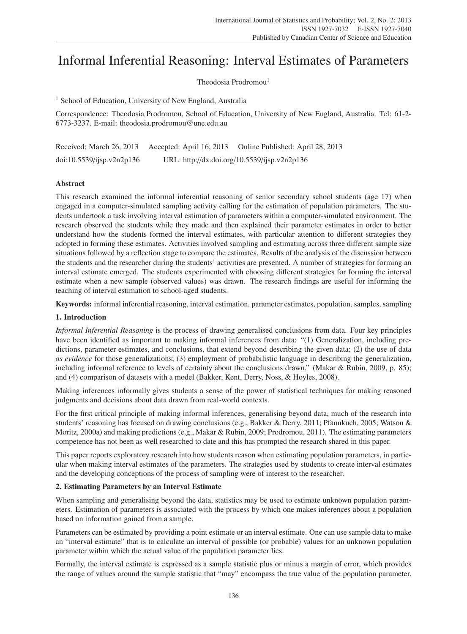# Informal Inferential Reasoning: Interval Estimates of Parameters

Theodosia Prodromou<sup>1</sup>

<sup>1</sup> School of Education, University of New England, Australia

Correspondence: Theodosia Prodromou, School of Education, University of New England, Australia. Tel: 61-2- 6773-3237. E-mail: theodosia.prodromou@une.edu.au

| Received: March 26, 2013  | Accepted: April 16, 2013 | Online Published: April 28, 2013             |
|---------------------------|--------------------------|----------------------------------------------|
| doi:10.5539/jisp.v2n2p136 |                          | URL: http://dx.doi.org/10.5539/ijsp.v2n2p136 |

# Abstract

This research examined the informal inferential reasoning of senior secondary school students (age 17) when engaged in a computer-simulated sampling activity calling for the estimation of population parameters. The students undertook a task involving interval estimation of parameters within a computer-simulated environment. The research observed the students while they made and then explained their parameter estimates in order to better understand how the students formed the interval estimates, with particular attention to different strategies they adopted in forming these estimates. Activities involved sampling and estimating across three different sample size situations followed by a reflection stage to compare the estimates. Results of the analysis of the discussion between the students and the researcher during the students' activities are presented. A number of strategies for forming an interval estimate emerged. The students experimented with choosing different strategies for forming the interval estimate when a new sample (observed values) was drawn. The research findings are useful for informing the teaching of interval estimation to school-aged students.

Keywords: informal inferential reasoning, interval estimation, parameter estimates, population, samples, sampling

# 1. Introduction

*Informal Inferential Reasoning* is the process of drawing generalised conclusions from data. Four key principles have been identified as important to making informal inferences from data: "(1) Generalization, including predictions, parameter estimates, and conclusions, that extend beyond describing the given data; (2) the use of data *as evidence* for those generalizations; (3) employment of probabilistic language in describing the generalization, including informal reference to levels of certainty about the conclusions drawn." (Makar & Rubin, 2009, p. 85); and (4) comparison of datasets with a model (Bakker, Kent, Derry, Noss, & Hoyles, 2008).

Making inferences informally gives students a sense of the power of statistical techniques for making reasoned judgments and decisions about data drawn from real-world contexts.

For the first critical principle of making informal inferences, generalising beyond data, much of the research into students' reasoning has focused on drawing conclusions (e.g., Bakker & Derry, 2011; Pfannkuch, 2005; Watson & Moritz, 2000a) and making predictions (e.g., Makar & Rubin, 2009; Prodromou, 2011). The estimating parameters competence has not been as well researched to date and this has prompted the research shared in this paper.

This paper reports exploratory research into how students reason when estimating population parameters, in particular when making interval estimates of the parameters. The strategies used by students to create interval estimates and the developing conceptions of the process of sampling were of interest to the researcher.

# 2. Estimating Parameters by an Interval Estimate

When sampling and generalising beyond the data, statistics may be used to estimate unknown population parameters. Estimation of parameters is associated with the process by which one makes inferences about a population based on information gained from a sample.

Parameters can be estimated by providing a point estimate or an interval estimate. One can use sample data to make an "interval estimate" that is to calculate an interval of possible (or probable) values for an unknown population parameter within which the actual value of the population parameter lies.

Formally, the interval estimate is expressed as a sample statistic plus or minus a margin of error, which provides the range of values around the sample statistic that "may" encompass the true value of the population parameter.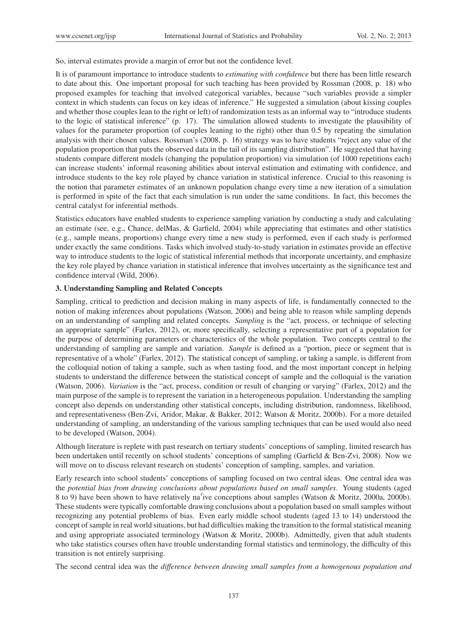So, interval estimates provide a margin of error but not the confidence level.

It is of paramount importance to introduce students to *estimating with confidence* but there has been little research to date about this. One important proposal for such teaching has been provided by Rossman (2008, p. 18) who proposed examples for teaching that involved categorical variables, because "such variables provide a simpler context in which students can focus on key ideas of inference." He suggested a simulation (about kissing couples and whether those couples lean to the right or left) of randomization tests as an informal way to "introduce students to the logic of statistical inference" (p. 17). The simulation allowed students to investigate the plausibility of values for the parameter proportion (of couples leaning to the right) other than 0.5 by repeating the simulation analysis with their chosen values. Rossman's (2008, p. 16) strategy was to have students "reject any value of the population proportion that puts the observed data in the tail of its sampling distribution". He suggested that having students compare different models (changing the population proportion) via simulation (of 1000 repetitions each) can increase students' informal reasoning abilities about interval estimation and estimating with confidence, and introduce students to the key role played by chance variation in statistical inference. Crucial to this reasoning is the notion that parameter estimates of an unknown population change every time a new iteration of a simulation is performed in spite of the fact that each simulation is run under the same conditions. In fact, this becomes the central catalyst for inferential methods.

Statistics educators have enabled students to experience sampling variation by conducting a study and calculating an estimate (see, e.g., Chance, delMas, & Garfield, 2004) while appreciating that estimates and other statistics (e.g., sample means, proportions) change every time a new study is performed, even if each study is performed under exactly the same conditions. Tasks which involved study-to-study variation in estimates provide an effective way to introduce students to the logic of statistical inferential methods that incorporate uncertainty, and emphasize the key role played by chance variation in statistical inference that involves uncertainty as the significance test and confidence interval (Wild, 2006).

#### 3. Understanding Sampling and Related Concepts

Sampling, critical to prediction and decision making in many aspects of life, is fundamentally connected to the notion of making inferences about populations (Watson, 2006) and being able to reason while sampling depends on an understanding of sampling and related concepts. *Sampling* is the "act, process, or technique of selecting an appropriate sample" (Farlex, 2012), or, more specifically, selecting a representative part of a population for the purpose of determining parameters or characteristics of the whole population. Two concepts central to the understanding of sampling are sample and variation. *Sample* is defined as a "portion, piece or segment that is representative of a whole" (Farlex, 2012). The statistical concept of sampling, or taking a sample, is different from the colloquial notion of taking a sample, such as when tasting food, and the most important concept in helping students to understand the difference between the statistical concept of sample and the colloquial is the variation (Watson, 2006). *Variation* is the "act, process, condition or result of changing or varying" (Farlex, 2012) and the main purpose of the sample is to represent the variation in a heterogeneous population. Understanding the sampling concept also depends on understanding other statistical concepts, including distribution, randomness, likelihood, and representativeness (Ben-Zvi, Aridor, Makar, & Bakker, 2012; Watson & Moritz, 2000b). For a more detailed understanding of sampling, an understanding of the various sampling techniques that can be used would also need to be developed (Watson, 2004).

Although literature is replete with past research on tertiary students' conceptions of sampling, limited research has been undertaken until recently on school students' conceptions of sampling (Garfield & Ben-Zvi, 2008). Now we will move on to discuss relevant research on students' conception of sampling, samples, and variation.

Early research into school students' conceptions of sampling focused on two central ideas. One central idea was the *potential bias from drawing conclusions about populations based on small samples*. Young students (aged 8 to 9) have been shown to have relatively na´'ive conceptions about samples (Watson & Moritz, 2000a, 2000b). These students were typically comfortable drawing conclusions about a population based on small samples without recognizing any potential problems of bias. Even early middle school students (aged 13 to 14) understood the concept of sample in real world situations, but had difficulties making the transition to the formal statistical meaning and using appropriate associated terminology (Watson & Moritz, 2000b). Admittedly, given that adult students who take statistics courses often have trouble understanding formal statistics and terminology, the difficulty of this transition is not entirely surprising.

The second central idea was the *di*ff*erence between drawing small samples from a homogenous population and*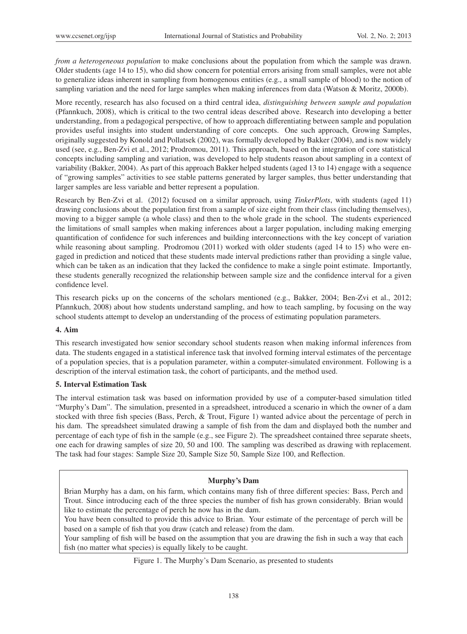*from a heterogeneous population* to make conclusions about the population from which the sample was drawn. Older students (age 14 to 15), who did show concern for potential errors arising from small samples, were not able to generalize ideas inherent in sampling from homogenous entities (e.g., a small sample of blood) to the notion of sampling variation and the need for large samples when making inferences from data (Watson & Moritz, 2000b).

More recently, research has also focused on a third central idea, *distinguishing between sample and population* (Pfannkuch, 2008), which is critical to the two central ideas described above. Research into developing a better understanding, from a pedagogical perspective, of how to approach differentiating between sample and population provides useful insights into student understanding of core concepts. One such approach, Growing Samples, originally suggested by Konold and Pollatsek (2002), was formally developed by Bakker (2004), and is now widely used (see, e.g., Ben-Zvi et al., 2012; Prodromou, 2011). This approach, based on the integration of core statistical concepts including sampling and variation, was developed to help students reason about sampling in a context of variability (Bakker, 2004). As part of this approach Bakker helped students (aged 13 to 14) engage with a sequence of "growing samples" activities to see stable patterns generated by larger samples, thus better understanding that larger samples are less variable and better represent a population.

Research by Ben-Zvi et al. (2012) focused on a similar approach, using *TinkerPlots*, with students (aged 11) drawing conclusions about the population first from a sample of size eight from their class (including themselves), moving to a bigger sample (a whole class) and then to the whole grade in the school. The students experienced the limitations of small samples when making inferences about a larger population, including making emerging quantification of confidence for such inferences and building interconnections with the key concept of variation while reasoning about sampling. Prodromou (2011) worked with older students (aged 14 to 15) who were engaged in prediction and noticed that these students made interval predictions rather than providing a single value, which can be taken as an indication that they lacked the confidence to make a single point estimate. Importantly, these students generally recognized the relationship between sample size and the confidence interval for a given confidence level.

This research picks up on the concerns of the scholars mentioned (e.g., Bakker, 2004; Ben-Zvi et al., 2012; Pfannkuch, 2008) about how students understand sampling, and how to teach sampling, by focusing on the way school students attempt to develop an understanding of the process of estimating population parameters.

# 4. Aim

This research investigated how senior secondary school students reason when making informal inferences from data. The students engaged in a statistical inference task that involved forming interval estimates of the percentage of a population species, that is a population parameter, within a computer-simulated environment. Following is a description of the interval estimation task, the cohort of participants, and the method used.

# 5. Interval Estimation Task

The interval estimation task was based on information provided by use of a computer-based simulation titled "Murphy's Dam". The simulation, presented in a spreadsheet, introduced a scenario in which the owner of a dam stocked with three fish species (Bass, Perch, & Trout, Figure 1) wanted advice about the percentage of perch in his dam. The spreadsheet simulated drawing a sample of fish from the dam and displayed both the number and percentage of each type of fish in the sample (e.g., see Figure 2). The spreadsheet contained three separate sheets, one each for drawing samples of size 20, 50 and 100. The sampling was described as drawing with replacement. The task had four stages: Sample Size 20, Sample Size 50, Sample Size 100, and Reflection.

# Murphy's Dam

Brian Murphy has a dam, on his farm, which contains many fish of three different species: Bass, Perch and Trout. Since introducing each of the three species the number of fish has grown considerably. Brian would like to estimate the percentage of perch he now has in the dam.

You have been consulted to provide this advice to Brian. Your estimate of the percentage of perch will be based on a sample of fish that you draw (catch and release) from the dam.

Your sampling of fish will be based on the assumption that you are drawing the fish in such a way that each fish (no matter what species) is equally likely to be caught.

#### Figure 1. The Murphy's Dam Scenario, as presented to students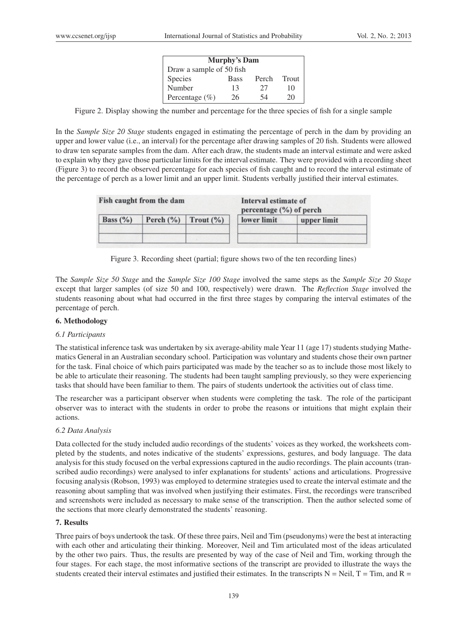| <b>Murphy's Dam</b>      |             |       |       |
|--------------------------|-------------|-------|-------|
| Draw a sample of 50 fish |             |       |       |
| <b>Species</b>           | <b>Bass</b> | Perch | Trout |
| Number                   | 13          | 27    | 10    |
| Percentage $(\% )$       | 26          | 54    | 20    |

Figure 2. Display showing the number and percentage for the three species of fish for a single sample

In the *Sample Size 20 Stage* students engaged in estimating the percentage of perch in the dam by providing an upper and lower value (i.e., an interval) for the percentage after drawing samples of 20 fish. Students were allowed to draw ten separate samples from the dam. After each draw, the students made an interval estimate and were asked to explain why they gave those particular limits for the interval estimate. They were provided with a recording sheet (Figure 3) to record the observed percentage for each species of fish caught and to record the interval estimate of the percentage of perch as a lower limit and an upper limit. Students verbally justified their interval estimates.

| Fish caught from the dam |  |                           | Interval estimate of<br>percentage $(\% )$ of perch |             |
|--------------------------|--|---------------------------|-----------------------------------------------------|-------------|
| Bass $(\%)$              |  | Perch $(\%)$ Trout $(\%)$ | lower limit                                         | upper limit |
|                          |  |                           |                                                     |             |

Figure 3. Recording sheet (partial; figure shows two of the ten recording lines)

The *Sample Size 50 Stage* and the *Sample Size 100 Stage* involved the same steps as the *Sample Size 20 Stage* except that larger samples (of size 50 and 100, respectively) were drawn. The *Reflection Stage* involved the students reasoning about what had occurred in the first three stages by comparing the interval estimates of the percentage of perch.

# 6. Methodology

# *6.1 Participants*

The statistical inference task was undertaken by six average-ability male Year 11 (age 17) students studying Mathematics General in an Australian secondary school. Participation was voluntary and students chose their own partner for the task. Final choice of which pairs participated was made by the teacher so as to include those most likely to be able to articulate their reasoning. The students had been taught sampling previously, so they were experiencing tasks that should have been familiar to them. The pairs of students undertook the activities out of class time.

The researcher was a participant observer when students were completing the task. The role of the participant observer was to interact with the students in order to probe the reasons or intuitions that might explain their actions.

# *6.2 Data Analysis*

Data collected for the study included audio recordings of the students' voices as they worked, the worksheets completed by the students, and notes indicative of the students' expressions, gestures, and body language. The data analysis for this study focused on the verbal expressions captured in the audio recordings. The plain accounts (transcribed audio recordings) were analysed to infer explanations for students' actions and articulations. Progressive focusing analysis (Robson, 1993) was employed to determine strategies used to create the interval estimate and the reasoning about sampling that was involved when justifying their estimates. First, the recordings were transcribed and screenshots were included as necessary to make sense of the transcription. Then the author selected some of the sections that more clearly demonstrated the students' reasoning.

# 7. Results

Three pairs of boys undertook the task. Of these three pairs, Neil and Tim (pseudonyms) were the best at interacting with each other and articulating their thinking. Moreover, Neil and Tim articulated most of the ideas articulated by the other two pairs. Thus, the results are presented by way of the case of Neil and Tim, working through the four stages. For each stage, the most informative sections of the transcript are provided to illustrate the ways the students created their interval estimates and justified their estimates. In the transcripts  $N = Neil, T = Tim, and R =$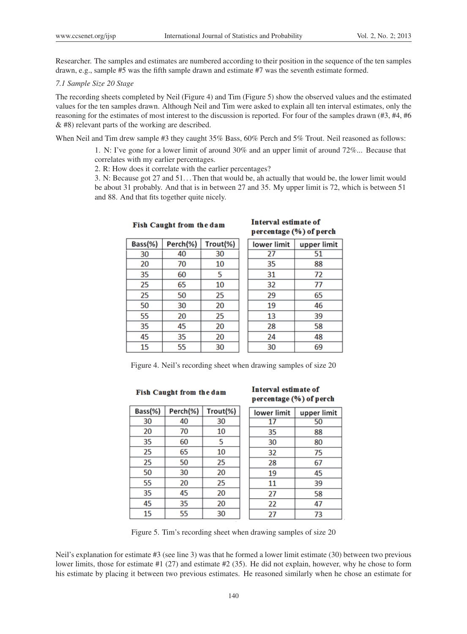Researcher. The samples and estimates are numbered according to their position in the sequence of the ten samples drawn, e.g., sample #5 was the fifth sample drawn and estimate #7 was the seventh estimate formed.

#### *7.1 Sample Size 20 Stage*

The recording sheets completed by Neil (Figure 4) and Tim (Figure 5) show the observed values and the estimated values for the ten samples drawn. Although Neil and Tim were asked to explain all ten interval estimates, only the reasoning for the estimates of most interest to the discussion is reported. For four of the samples drawn (#3, #4, #6 & #8) relevant parts of the working are described.

When Neil and Tim drew sample #3 they caught 35% Bass, 60% Perch and 5% Trout. Neil reasoned as follows:

1. N: I've gone for a lower limit of around 30% and an upper limit of around 72%... Because that correlates with my earlier percentages.

2. R: How does it correlate with the earlier percentages?

3. N: Because got 27 and 51... Then that would be, ah actually that would be, the lower limit would be about 31 probably. And that is in between 27 and 35. My upper limit is 72, which is between 51 and 88. And that fits together quite nicely.

# Interval estimate of percentage (%) of perch

| Bass(%) | Perch(%) | Trout(%) |
|---------|----------|----------|
| 30      | 40       | 30       |
| 20      | 70       | 10       |
| 35      | 60       | 5        |
| 25      | 65       | 10       |
| 25      | 50       | 25       |
| 50      | 30       | 20       |
| 55      | 20       | 25       |
| 35      | 45       | 20       |
| 45      | 35       | 20       |
| 15      | 55       | 30       |

| lower limit | upper limit |
|-------------|-------------|
| 27          | 51          |
| 35          | 88          |
| 31          | 72          |
| 32          | 77          |
| 29          | 65          |
| 19          | 46          |
| 13          | 39          |
| 28          | 58          |
| 24          | 48          |
| 30          | 69          |

Figure 4. Neil's recording sheet when drawing samples of size 20

#### Fish Caught from the dam

#### **Interval estimate of** percentage (%) of perch

| Bass(%) | Perch(%) | Trout(%) | lower limit | upper limit |
|---------|----------|----------|-------------|-------------|
| 30      | 40       | 30       | 17          | 50          |
| 20      | 70       | 10       | 35          | 88          |
| 35      | 60       | 5        | 30          | 80          |
| 25      | 65       | 10       | 32          | 75          |
| 25      | 50       | 25       | 28          | 67          |
| 50      | 30       | 20       | 19          | 45          |
| 55      | 20       | 25       | 11          | 39          |
| 35      | 45       | 20       | 27          | 58          |
| 45      | 35       | 20       | 22          | 47          |
| 15      | 55       | 30       | 27          | 73          |

Figure 5. Tim's recording sheet when drawing samples of size 20

Neil's explanation for estimate #3 (see line 3) was that he formed a lower limit estimate (30) between two previous lower limits, those for estimate #1 (27) and estimate #2 (35). He did not explain, however, why he chose to form his estimate by placing it between two previous estimates. He reasoned similarly when he chose an estimate for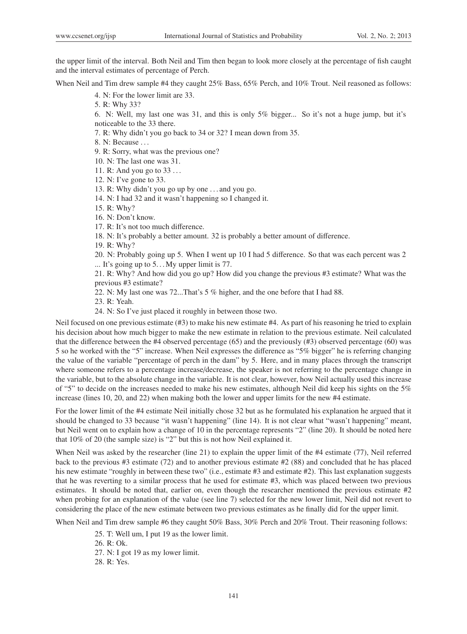the upper limit of the interval. Both Neil and Tim then began to look more closely at the percentage of fish caught and the interval estimates of percentage of Perch.

When Neil and Tim drew sample #4 they caught 25% Bass, 65% Perch, and 10% Trout. Neil reasoned as follows:

- 4. N: For the lower limit are 33.
- 5. R: Why 33?

6. N: Well, my last one was 31, and this is only 5% bigger... So it's not a huge jump, but it's noticeable to the 33 there.

7. R: Why didn't you go back to 34 or 32? I mean down from 35.

8. N: Because . . .

9. R: Sorry, what was the previous one?

- 10. N: The last one was 31.
- 11. R: And you go to 33 . . .
- 12. N: I've gone to 33.

13. R: Why didn't you go up by one . . . and you go.

- 14. N: I had 32 and it wasn't happening so I changed it.
- 15. R: Why?
- 16. N: Don't know.
- 17. R: It's not too much difference.

18. N: It's probably a better amount. 32 is probably a better amount of difference.

19. R: Why?

20. N: Probably going up 5. When I went up 10 I had 5 difference. So that was each percent was 2 ... It's going up to  $5...$  My upper limit is 77.

21. R: Why? And how did you go up? How did you change the previous #3 estimate? What was the previous #3 estimate?

22. N: My last one was 72...That's 5 % higher, and the one before that I had 88.

23. R: Yeah.

24. N: So I've just placed it roughly in between those two.

Neil focused on one previous estimate (#3) to make his new estimate #4. As part of his reasoning he tried to explain his decision about how much bigger to make the new estimate in relation to the previous estimate. Neil calculated that the difference between the #4 observed percentage (65) and the previously (#3) observed percentage (60) was 5 so he worked with the "5" increase. When Neil expresses the difference as "5% bigger" he is referring changing the value of the variable "percentage of perch in the dam" by 5. Here, and in many places through the transcript where someone refers to a percentage increase/decrease, the speaker is not referring to the percentage change in the variable, but to the absolute change in the variable. It is not clear, however, how Neil actually used this increase of "5" to decide on the increases needed to make his new estimates, although Neil did keep his sights on the 5% increase (lines 10, 20, and 22) when making both the lower and upper limits for the new #4 estimate.

For the lower limit of the #4 estimate Neil initially chose 32 but as he formulated his explanation he argued that it should be changed to 33 because "it wasn't happening" (line 14). It is not clear what "wasn't happening" meant, but Neil went on to explain how a change of 10 in the percentage represents "2" (line 20). It should be noted here that 10% of 20 (the sample size) is "2" but this is not how Neil explained it.

When Neil was asked by the researcher (line 21) to explain the upper limit of the #4 estimate (77), Neil referred back to the previous #3 estimate (72) and to another previous estimate #2 (88) and concluded that he has placed his new estimate "roughly in between these two" (i.e., estimate #3 and estimate #2). This last explanation suggests that he was reverting to a similar process that he used for estimate #3, which was placed between two previous estimates. It should be noted that, earlier on, even though the researcher mentioned the previous estimate #2 when probing for an explanation of the value (see line 7) selected for the new lower limit, Neil did not revert to considering the place of the new estimate between two previous estimates as he finally did for the upper limit.

When Neil and Tim drew sample #6 they caught 50% Bass, 30% Perch and 20% Trout. Their reasoning follows:

25. T: Well um, I put 19 as the lower limit.

26. R: Ok.

27. N: I got 19 as my lower limit.

28. R: Yes.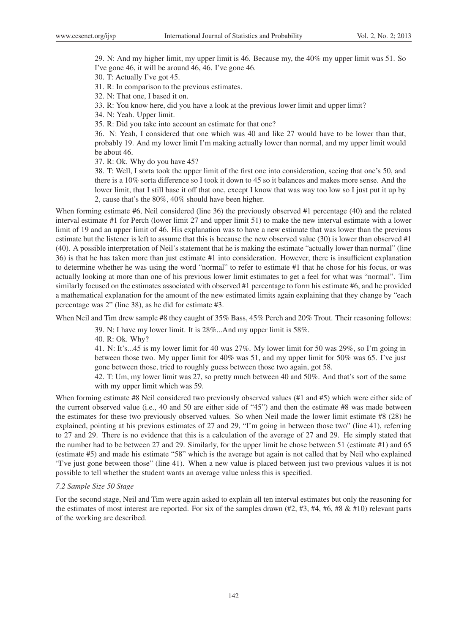29. N: And my higher limit, my upper limit is 46. Because my, the 40% my upper limit was 51. So I've gone 46, it will be around 46, 46. I've gone 46.

30. T: Actually I've got 45.

31. R: In comparison to the previous estimates.

32. N: That one, I based it on.

33. R: You know here, did you have a look at the previous lower limit and upper limit?

34. N: Yeah. Upper limit.

35. R: Did you take into account an estimate for that one?

36. N: Yeah, I considered that one which was 40 and like 27 would have to be lower than that, probably 19. And my lower limit I'm making actually lower than normal, and my upper limit would be about 46.

37. R: Ok. Why do you have 45?

38. T: Well, I sorta took the upper limit of the first one into consideration, seeing that one's 50, and there is a 10% sorta difference so I took it down to 45 so it balances and makes more sense. And the lower limit, that I still base it off that one, except I know that was way too low so I just put it up by 2, cause that's the 80%, 40% should have been higher.

When forming estimate #6, Neil considered (line 36) the previously observed #1 percentage (40) and the related interval estimate #1 for Perch (lower limit 27 and upper limit 51) to make the new interval estimate with a lower limit of 19 and an upper limit of 46. His explanation was to have a new estimate that was lower than the previous estimate but the listener is left to assume that this is because the new observed value (30) is lower than observed #1 (40). A possible interpretation of Neil's statement that he is making the estimate "actually lower than normal" (line 36) is that he has taken more than just estimate #1 into consideration. However, there is insufficient explanation to determine whether he was using the word "normal" to refer to estimate #1 that he chose for his focus, or was actually looking at more than one of his previous lower limit estimates to get a feel for what was "normal". Tim similarly focused on the estimates associated with observed #1 percentage to form his estimate #6, and he provided a mathematical explanation for the amount of the new estimated limits again explaining that they change by "each percentage was 2" (line 38), as he did for estimate #3.

When Neil and Tim drew sample #8 they caught of 35% Bass, 45% Perch and 20% Trout. Their reasoning follows:

39. N: I have my lower limit. It is 28%...And my upper limit is 58%.

40. R: Ok. Why?

41. N: It's...45 is my lower limit for 40 was 27%. My lower limit for 50 was 29%, so I'm going in between those two. My upper limit for 40% was 51, and my upper limit for 50% was 65. I've just gone between those, tried to roughly guess between those two again, got 58.

42. T: Um, my lower limit was 27, so pretty much between 40 and 50%. And that's sort of the same with my upper limit which was 59.

When forming estimate #8 Neil considered two previously observed values (#1 and #5) which were either side of the current observed value (i.e., 40 and 50 are either side of "45") and then the estimate #8 was made between the estimates for these two previously observed values. So when Neil made the lower limit estimate #8 (28) he explained, pointing at his previous estimates of 27 and 29, "I'm going in between those two" (line 41), referring to 27 and 29. There is no evidence that this is a calculation of the average of 27 and 29. He simply stated that the number had to be between 27 and 29. Similarly, for the upper limit he chose between 51 (estimate #1) and 65 (estimate #5) and made his estimate "58" which is the average but again is not called that by Neil who explained "I've just gone between those" (line 41). When a new value is placed between just two previous values it is not possible to tell whether the student wants an average value unless this is specified.

#### *7.2 Sample Size 50 Stage*

For the second stage, Neil and Tim were again asked to explain all ten interval estimates but only the reasoning for the estimates of most interest are reported. For six of the samples drawn  $(#2, #3, #4, #6, #8, #10)$  relevant parts of the working are described.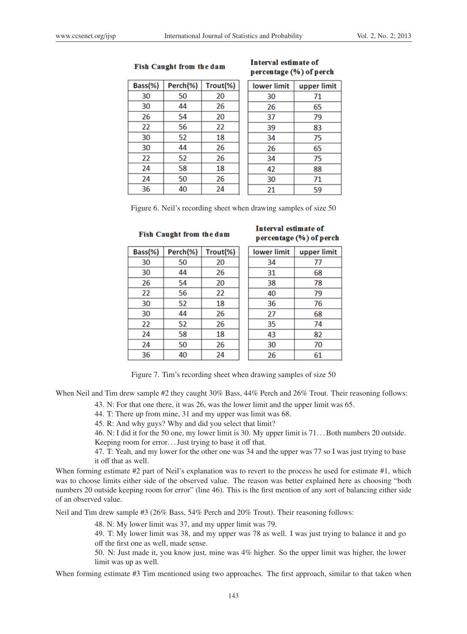#### Fish Caught from the dam

# Interval estimate of percentage (%) of perch

Bass(%) Perch(%) Trout(%) 30 50 20 30 44 26 26 54 20 22 56 22 30 52 18 30 26 44 52 22 26 24 58 18  $\overline{24}$ 50 26 36 40 24

| lower limit | upper limit |
|-------------|-------------|
|             |             |
| 30          | 71          |
| 26          | 65          |
| 37          | 79          |
| 39          | 83          |
| 34          | 75          |
| 26          | 65          |
| 34          | 75          |
| 42          | 88          |
| 30          | 71          |
| 21          | 59          |

Figure 6. Neil's recording sheet when drawing samples of size 50

#### Fish Caught from the dam

| Bass(%) | Perch(%) | Trout(%) |
|---------|----------|----------|
| 30      | 50       | 20       |
| 30      | 44       | 26       |
| 26      | 54       | 20       |
| 22      | 56       | 22       |
| 30      | 52       | 18       |
| 30      | 44       | 26       |
| 22      | 52       | 26       |
| 24      | 58       | 18       |
| 24      | 50       | 26       |
| 36      | 40       | 24       |

# Interval estimate of percentage (%) of perch

| lower limit | upper limit |
|-------------|-------------|
| 34          | 77          |
| 31          | 68          |
| 38          | 78          |
| 40          | 79          |
| 36          | 76          |
| 27          | 68          |
| 35          | 74          |
| 43          | 82          |
| 30          | 70          |
| 26          | 61          |

Figure 7. Tim's recording sheet when drawing samples of size 50

When Neil and Tim drew sample #2 they caught 30% Bass, 44% Perch and 26% Trout. Their reasoning follows:

43. N: For that one there, it was 26, was the lower limit and the upper limit was 65.

44. T: There up from mine, 31 and my upper was limit was 68.

45. R: And why guys? Why and did you select that limit?

46. N: I did it for the 50 one, my lower limit is 30. My upper limit is 71. . . Both numbers 20 outside. Keeping room for error. . . Just trying to base it off that.

47. T: Yeah, and my lower for the other one was 34 and the upper was 77 so I was just trying to base it off that as well.

When forming estimate #2 part of Neil's explanation was to revert to the process he used for estimate #1, which was to choose limits either side of the observed value. The reason was better explained here as choosing "both numbers 20 outside keeping room for error" (line 46). This is the first mention of any sort of balancing either side of an observed value.

Neil and Tim drew sample #3 (26% Bass, 54% Perch and 20% Trout). Their reasoning follows:

48. N: My lower limit was 37, and my upper limit was 79.

49. T: My lower limit was 38, and my upper was 78 as well. I was just trying to balance it and go off the first one as well, made sense.

50. N: Just made it, you know just, mine was 4% higher. So the upper limit was higher, the lower limit was up as well.

When forming estimate #3 Tim mentioned using two approaches. The first approach, similar to that taken when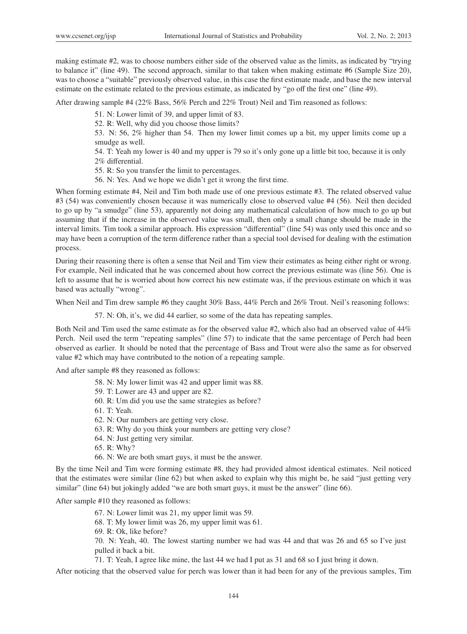making estimate #2, was to choose numbers either side of the observed value as the limits, as indicated by "trying to balance it" (line 49). The second approach, similar to that taken when making estimate #6 (Sample Size 20), was to choose a "suitable" previously observed value, in this case the first estimate made, and base the new interval estimate on the estimate related to the previous estimate, as indicated by "go off the first one" (line 49).

After drawing sample #4 (22% Bass, 56% Perch and 22% Trout) Neil and Tim reasoned as follows:

- 51. N: Lower limit of 39, and upper limit of 83.
- 52. R: Well, why did you choose those limits?

53. N: 56, 2% higher than 54. Then my lower limit comes up a bit, my upper limits come up a smudge as well.

54. T: Yeah my lower is 40 and my upper is 79 so it's only gone up a little bit too, because it is only 2% differential.

- 55. R: So you transfer the limit to percentages.
- 56. N: Yes. And we hope we didn't get it wrong the first time.

When forming estimate #4, Neil and Tim both made use of one previous estimate #3. The related observed value #3 (54) was conveniently chosen because it was numerically close to observed value #4 (56). Neil then decided to go up by "a smudge" (line 53), apparently not doing any mathematical calculation of how much to go up but assuming that if the increase in the observed value was small, then only a small change should be made in the interval limits. Tim took a similar approach. His expression "differential" (line 54) was only used this once and so may have been a corruption of the term difference rather than a special tool devised for dealing with the estimation process.

During their reasoning there is often a sense that Neil and Tim view their estimates as being either right or wrong. For example, Neil indicated that he was concerned about how correct the previous estimate was (line 56). One is left to assume that he is worried about how correct his new estimate was, if the previous estimate on which it was based was actually "wrong".

When Neil and Tim drew sample #6 they caught 30% Bass, 44% Perch and 26% Trout. Neil's reasoning follows:

57. N: Oh, it's, we did 44 earlier, so some of the data has repeating samples.

Both Neil and Tim used the same estimate as for the observed value #2, which also had an observed value of 44% Perch. Neil used the term "repeating samples" (line 57) to indicate that the same percentage of Perch had been observed as earlier. It should be noted that the percentage of Bass and Trout were also the same as for observed value #2 which may have contributed to the notion of a repeating sample.

And after sample #8 they reasoned as follows:

- 58. N: My lower limit was 42 and upper limit was 88.
- 59. T: Lower are 43 and upper are 82.
- 60. R: Um did you use the same strategies as before?
- 61. T: Yeah.
- 62. N: Our numbers are getting very close.
- 63. R: Why do you think your numbers are getting very close?
- 64. N: Just getting very similar.
- 65. R: Why?
- 66. N: We are both smart guys, it must be the answer.

By the time Neil and Tim were forming estimate #8, they had provided almost identical estimates. Neil noticed that the estimates were similar (line 62) but when asked to explain why this might be, he said "just getting very similar" (line 64) but jokingly added "we are both smart guys, it must be the answer" (line 66).

After sample #10 they reasoned as follows:

67. N: Lower limit was 21, my upper limit was 59.

68. T: My lower limit was 26, my upper limit was 61.

69. R: Ok, like before?

70. N: Yeah, 40. The lowest starting number we had was 44 and that was 26 and 65 so I've just pulled it back a bit.

71. T: Yeah, I agree like mine, the last 44 we had I put as 31 and 68 so I just bring it down.

After noticing that the observed value for perch was lower than it had been for any of the previous samples, Tim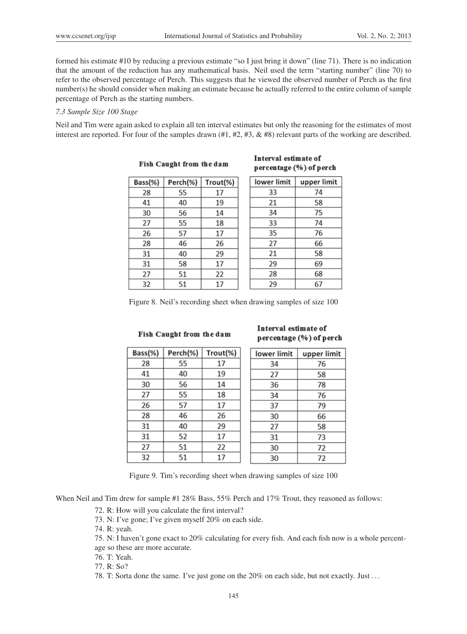formed his estimate #10 by reducing a previous estimate "so I just bring it down" (line 71). There is no indication that the amount of the reduction has any mathematical basis. Neil used the term "starting number" (line 70) to refer to the observed percentage of Perch. This suggests that he viewed the observed number of Perch as the first number(s) he should consider when making an estimate because he actually referred to the entire column of sample percentage of Perch as the starting numbers.

#### *7.3 Sample Size 100 Stage*

Neil and Tim were again asked to explain all ten interval estimates but only the reasoning for the estimates of most interest are reported. For four of the samples drawn  $(\#1, \#2, \#3, \& \#8)$  relevant parts of the working are described.

| Bass(%) | Perch(%) | Trout(%) |
|---------|----------|----------|
| 28      | 55       | 17       |
| 41      | 40       | 19       |
| 30      | 56       | 14       |
| 27      | 55       | 18       |
| 26      | 57       | 17       |
| 28      | 46       | 26       |
| 31      | 40       | 29       |
| 31      | 58       | 17       |
| 27      | 51       | 22       |
| 32      | 51       | 17       |

#### Interval estimate of Fish Caught from the dam percentage (%) of perch

| lower limit | upper limit |
|-------------|-------------|
| 33          | 74          |
| 21          | 58          |
| 34          | 75          |
| 33          | 74          |
| 35          | 76          |
| 27          | 66          |
| 21          | 58          |
| 29          | 69          |
| 28          | 68          |
| 29          | 67          |

Figure 8. Neil's recording sheet when drawing samples of size 100

#### **Fish Caught from the dam**

| Bass(%) | Perch(%) | Trout(%) |
|---------|----------|----------|
| 28      | 55       | 17       |
| 41      | 40       | 19       |
| 30      | 56       | 14       |
| 27      | 55       | 18       |
| 26      | 57       | 17       |
| 28      | 46       | 26       |
| 31      | 40       | 29       |
| 31      | 52       | 17       |
| 27      | 51       | 22       |
| 32      | 51       | 17       |

# Interval estimate of percentage (%) of perch

| lower limit | upper limit |
|-------------|-------------|
| 34          | 76          |
| 27          | 58          |
| 36          | 78          |
| 34          | 76          |
| 37          | 79          |
| 30          | 66          |
| 27          | 58          |
| 31          | 73          |
| 30          | 72          |
| 30          | 72          |

Figure 9. Tim's recording sheet when drawing samples of size 100

When Neil and Tim drew for sample #1 28% Bass, 55% Perch and 17% Trout, they reasoned as follows:

- 72. R: How will you calculate the first interval?
- 73. N: I've gone; I've given myself 20% on each side.
- 74. R: yeah.
- 75. N: I haven't gone exact to 20% calculating for every fish. And each fish now is a whole percentage so these are more accurate.
- 76. T: Yeah.
- 77. R: So?
- 78. T: Sorta done the same. I've just gone on the 20% on each side, but not exactly. Just . . .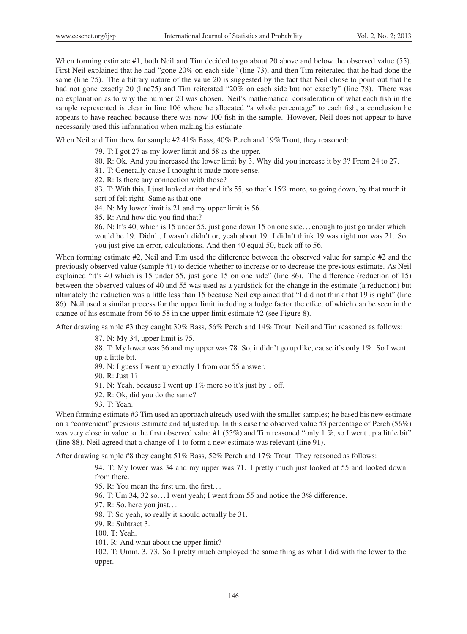When forming estimate #1, both Neil and Tim decided to go about 20 above and below the observed value (55). First Neil explained that he had "gone 20% on each side" (line 73), and then Tim reiterated that he had done the same (line 75). The arbitrary nature of the value 20 is suggested by the fact that Neil chose to point out that he had not gone exactly 20 (line75) and Tim reiterated "20% on each side but not exactly" (line 78). There was no explanation as to why the number 20 was chosen. Neil's mathematical consideration of what each fish in the sample represented is clear in line 106 where he allocated "a whole percentage" to each fish, a conclusion he appears to have reached because there was now 100 fish in the sample. However, Neil does not appear to have necessarily used this information when making his estimate.

When Neil and Tim drew for sample #2 41% Bass, 40% Perch and 19% Trout, they reasoned:

- 79. T: I got 27 as my lower limit and 58 as the upper.
- 80. R: Ok. And you increased the lower limit by 3. Why did you increase it by 3? From 24 to 27.
- 81. T: Generally cause I thought it made more sense.
- 82. R: Is there any connection with those?

83. T: With this, I just looked at that and it's 55, so that's 15% more, so going down, by that much it sort of felt right. Same as that one.

84. N: My lower limit is 21 and my upper limit is 56.

85. R: And how did you find that?

86. N: It's 40, which is 15 under 55, just gone down 15 on one side. . . enough to just go under which would be 19. Didn't, I wasn't didn't or, yeah about 19. I didn't think 19 was right nor was 21. So you just give an error, calculations. And then 40 equal 50, back off to 56.

When forming estimate #2, Neil and Tim used the difference between the observed value for sample #2 and the previously observed value (sample #1) to decide whether to increase or to decrease the previous estimate. As Neil explained "it's 40 which is 15 under 55, just gone 15 on one side" (line 86). The difference (reduction of 15) between the observed values of 40 and 55 was used as a yardstick for the change in the estimate (a reduction) but ultimately the reduction was a little less than 15 because Neil explained that "I did not think that 19 is right" (line 86). Neil used a similar process for the upper limit including a fudge factor the effect of which can be seen in the change of his estimate from 56 to 58 in the upper limit estimate #2 (see Figure 8).

After drawing sample #3 they caught 30% Bass, 56% Perch and 14% Trout. Neil and Tim reasoned as follows:

87. N: My 34, upper limit is 75.

88. T: My lower was 36 and my upper was 78. So, it didn't go up like, cause it's only 1%. So I went up a little bit.

89. N: I guess I went up exactly 1 from our 55 answer.

90. R: Just 1?

- 91. N: Yeah, because I went up 1% more so it's just by 1 off.
- 92. R: Ok, did you do the same?
- 93. T: Yeah.

When forming estimate #3 Tim used an approach already used with the smaller samples; he based his new estimate on a "convenient" previous estimate and adjusted up. In this case the observed value #3 percentage of Perch (56%) was very close in value to the first observed value #1 (55%) and Tim reasoned "only 1 %, so I went up a little bit" (line 88). Neil agreed that a change of 1 to form a new estimate was relevant (line 91).

After drawing sample #8 they caught 51% Bass, 52% Perch and 17% Trout. They reasoned as follows:

94. T: My lower was 34 and my upper was 71. I pretty much just looked at 55 and looked down from there.

- 95. R: You mean the first um, the first. . .
- 96. T: Um 34, 32 so. . . I went yeah; I went from 55 and notice the 3% difference.
- 97. R: So, here you just. . .
- 98. T: So yeah, so really it should actually be 31.
- 99. R: Subtract 3.
- 100. T: Yeah.
- 101. R: And what about the upper limit?

102. T: Umm, 3, 73. So I pretty much employed the same thing as what I did with the lower to the upper.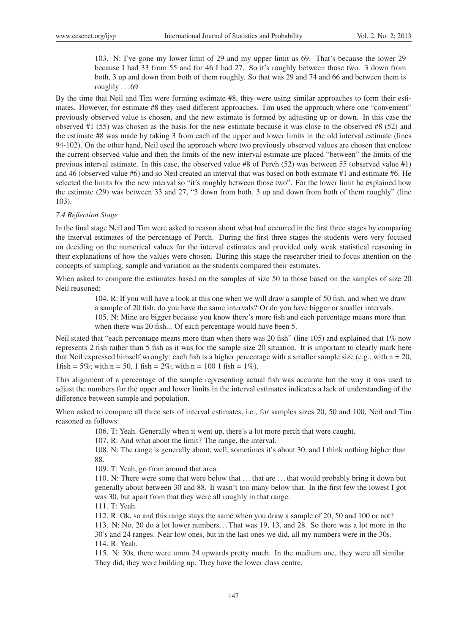103. N: I've gone my lower limit of 29 and my upper limit as 69. That's because the lower 29 because I had 33 from 55 and for 46 I had 27. So it's roughly between those two. 3 down from both, 3 up and down from both of them roughly. So that was 29 and 74 and 66 and between them is roughly  $\dots$  69

By the time that Neil and Tim were forming estimate #8, they were using similar approaches to form their estimates. However, for estimate #8 they used different approaches. Tim used the approach where one "convenient" previously observed value is chosen, and the new estimate is formed by adjusting up or down. In this case the observed #1 (55) was chosen as the basis for the new estimate because it was close to the observed #8 (52) and the estimate #8 was made by taking 3 from each of the upper and lower limits in the old interval estimate (lines 94-102). On the other hand, Neil used the approach where two previously observed values are chosen that enclose the current observed value and then the limits of the new interval estimate are placed "between" the limits of the previous interval estimate. In this case, the observed value #8 of Perch (52) was between 55 (observed value #1) and 46 (observed value #6) and so Neil created an interval that was based on both estimate #1 and estimate #6. He selected the limits for the new interval so "it's roughly between those two". For the lower limit he explained how the estimate (29) was between 33 and 27, "3 down from both, 3 up and down from both of them roughly" (line 103).

#### *7.4 Reflection Stage*

In the final stage Neil and Tim were asked to reason about what had occurred in the first three stages by comparing the interval estimates of the percentage of Perch. During the first three stages the students were very focused on deciding on the numerical values for the interval estimates and provided only weak statistical reasoning in their explanations of how the values were chosen. During this stage the researcher tried to focus attention on the concepts of sampling, sample and variation as the students compared their estimates.

When asked to compare the estimates based on the samples of size 50 to those based on the samples of size 20 Neil reasoned:

> 104. R: If you will have a look at this one when we will draw a sample of 50 fish, and when we draw a sample of 20 fish, do you have the same intervals? Or do you have bigger or smaller intervals. 105. N: Mine are bigger because you know there's more fish and each percentage means more than when there was 20 fish... Of each percentage would have been 5.

Neil stated that "each percentage means more than when there was 20 fish" (line 105) and explained that 1% now represents 2 fish rather than 5 fish as it was for the sample size 20 situation. It is important to clearly mark here that Neil expressed himself wrongly: each fish is a higher percentage with a smaller sample size (e.g., with  $n = 20$ , 1fish = 5%; with  $n = 50$ , 1 fish = 2%; with  $n = 100$  1 fish = 1%).

This alignment of a percentage of the sample representing actual fish was accurate but the way it was used to adjust the numbers for the upper and lower limits in the interval estimates indicates a lack of understanding of the difference between sample and population.

When asked to compare all three sets of interval estimates, i.e., for samples sizes 20, 50 and 100, Neil and Tim reasoned as follows:

106. T: Yeah. Generally when it went up, there's a lot more perch that were caught.

107. R: And what about the limit? The range, the interval.

108. N: The range is generally about, well, sometimes it's about 30, and I think nothing higher than 88.

109. T: Yeah, go from around that area.

110. N: There were some that were below that . . . that are . . . that would probably bring it down but generally about between 30 and 88. It wasn't too many below that. In the first few the lowest I got was 30, but apart from that they were all roughly in that range.

111. T: Yeah.

112. R: Ok, so and this range stays the same when you draw a sample of 20, 50 and 100 or not?

113. N: No, 20 do a lot lower numbers. . . That was 19, 13, and 28. So there was a lot more in the 30's and 24 ranges. Near low ones, but in the last ones we did, all my numbers were in the 30s. 114. R: Yeah.

115. N: 30s, there were umm 24 upwards pretty much. In the medium one, they were all similar. They did, they were building up. They have the lower class centre.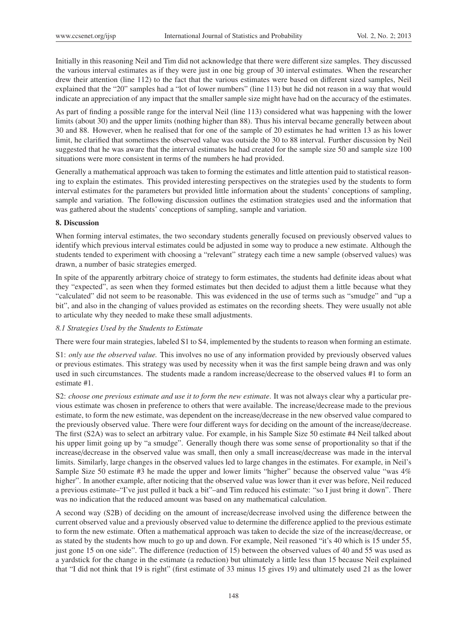Initially in this reasoning Neil and Tim did not acknowledge that there were different size samples. They discussed the various interval estimates as if they were just in one big group of 30 interval estimates. When the researcher drew their attention (line 112) to the fact that the various estimates were based on different sized samples, Neil explained that the "20" samples had a "lot of lower numbers" (line 113) but he did not reason in a way that would indicate an appreciation of any impact that the smaller sample size might have had on the accuracy of the estimates.

As part of finding a possible range for the interval Neil (line 113) considered what was happening with the lower limits (about 30) and the upper limits (nothing higher than 88). Thus his interval became generally between about 30 and 88. However, when he realised that for one of the sample of 20 estimates he had written 13 as his lower limit, he clarified that sometimes the observed value was outside the 30 to 88 interval. Further discussion by Neil suggested that he was aware that the interval estimates he had created for the sample size 50 and sample size 100 situations were more consistent in terms of the numbers he had provided.

Generally a mathematical approach was taken to forming the estimates and little attention paid to statistical reasoning to explain the estimates. This provided interesting perspectives on the strategies used by the students to form interval estimates for the parameters but provided little information about the students' conceptions of sampling, sample and variation. The following discussion outlines the estimation strategies used and the information that was gathered about the students' conceptions of sampling, sample and variation.

# 8. Discussion

When forming interval estimates, the two secondary students generally focused on previously observed values to identify which previous interval estimates could be adjusted in some way to produce a new estimate. Although the students tended to experiment with choosing a "relevant" strategy each time a new sample (observed values) was drawn, a number of basic strategies emerged.

In spite of the apparently arbitrary choice of strategy to form estimates, the students had definite ideas about what they "expected", as seen when they formed estimates but then decided to adjust them a little because what they "calculated" did not seem to be reasonable. This was evidenced in the use of terms such as "smudge" and "up a bit", and also in the changing of values provided as estimates on the recording sheets. They were usually not able to articulate why they needed to make these small adjustments.

# *8.1 Strategies Used by the Students to Estimate*

There were four main strategies, labeled S1 to S4, implemented by the students to reason when forming an estimate.

S1: *only use the observed value.* This involves no use of any information provided by previously observed values or previous estimates. This strategy was used by necessity when it was the first sample being drawn and was only used in such circumstances. The students made a random increase/decrease to the observed values #1 to form an estimate #1.

S2: *choose one previous estimate and use it to form the new estimate*. It was not always clear why a particular previous estimate was chosen in preference to others that were available. The increase/decrease made to the previous estimate, to form the new estimate, was dependent on the increase/decrease in the new observed value compared to the previously observed value. There were four different ways for deciding on the amount of the increase/decrease. The first (S2A) was to select an arbitrary value. For example, in his Sample Size 50 estimate #4 Neil talked about his upper limit going up by "a smudge". Generally though there was some sense of proportionality so that if the increase/decrease in the observed value was small, then only a small increase/decrease was made in the interval limits. Similarly, large changes in the observed values led to large changes in the estimates. For example, in Neil's Sample Size 50 estimate #3 he made the upper and lower limits "higher" because the observed value "was 4% higher". In another example, after noticing that the observed value was lower than it ever was before, Neil reduced a previous estimate–"I've just pulled it back a bit"–and Tim reduced his estimate: "so I just bring it down". There was no indication that the reduced amount was based on any mathematical calculation.

A second way (S2B) of deciding on the amount of increase/decrease involved using the difference between the current observed value and a previously observed value to determine the difference applied to the previous estimate to form the new estimate. Often a mathematical approach was taken to decide the size of the increase/decrease, or as stated by the students how much to go up and down. For example, Neil reasoned "it's 40 which is 15 under 55, just gone 15 on one side". The difference (reduction of 15) between the observed values of 40 and 55 was used as a yardstick for the change in the estimate (a reduction) but ultimately a little less than 15 because Neil explained that "I did not think that 19 is right" (first estimate of 33 minus 15 gives 19) and ultimately used 21 as the lower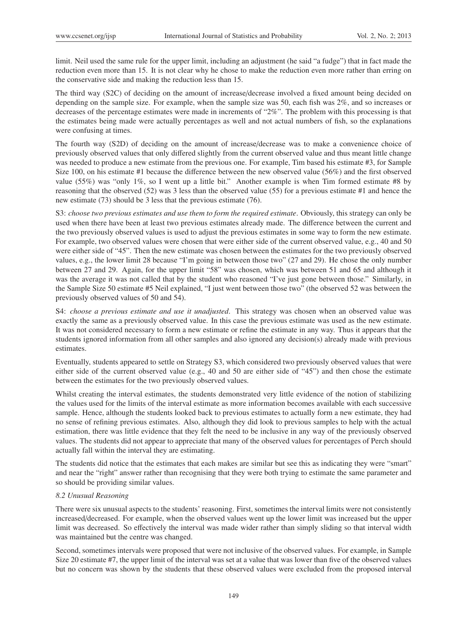limit. Neil used the same rule for the upper limit, including an adjustment (he said "a fudge") that in fact made the reduction even more than 15. It is not clear why he chose to make the reduction even more rather than erring on the conservative side and making the reduction less than 15.

The third way (S2C) of deciding on the amount of increase/decrease involved a fixed amount being decided on depending on the sample size. For example, when the sample size was 50, each fish was 2%, and so increases or decreases of the percentage estimates were made in increments of "2%". The problem with this processing is that the estimates being made were actually percentages as well and not actual numbers of fish, so the explanations were confusing at times.

The fourth way (S2D) of deciding on the amount of increase/decrease was to make a convenience choice of previously observed values that only differed slightly from the current observed value and thus meant little change was needed to produce a new estimate from the previous one. For example, Tim based his estimate #3, for Sample Size 100, on his estimate #1 because the difference between the new observed value (56%) and the first observed value (55%) was "only 1%, so I went up a little bit." Another example is when Tim formed estimate #8 by reasoning that the observed (52) was 3 less than the observed value (55) for a previous estimate #1 and hence the new estimate (73) should be 3 less that the previous estimate (76).

S3: *choose two previous estimates and use them to form the required estimate*. Obviously, this strategy can only be used when there have been at least two previous estimates already made. The difference between the current and the two previously observed values is used to adjust the previous estimates in some way to form the new estimate. For example, two observed values were chosen that were either side of the current observed value, e.g., 40 and 50 were either side of "45". Then the new estimate was chosen between the estimates for the two previously observed values, e.g., the lower limit 28 because "I'm going in between those two" (27 and 29). He chose the only number between 27 and 29. Again, for the upper limit "58" was chosen, which was between 51 and 65 and although it was the average it was not called that by the student who reasoned "I've just gone between those." Similarly, in the Sample Size 50 estimate #5 Neil explained, "I just went between those two" (the observed 52 was between the previously observed values of 50 and 54).

S4: *choose a previous estimate and use it unadjusted*. This strategy was chosen when an observed value was exactly the same as a previously observed value. In this case the previous estimate was used as the new estimate. It was not considered necessary to form a new estimate or refine the estimate in any way. Thus it appears that the students ignored information from all other samples and also ignored any decision(s) already made with previous estimates.

Eventually, students appeared to settle on Strategy S3, which considered two previously observed values that were either side of the current observed value (e.g., 40 and 50 are either side of "45") and then chose the estimate between the estimates for the two previously observed values.

Whilst creating the interval estimates, the students demonstrated very little evidence of the notion of stabilizing the values used for the limits of the interval estimate as more information becomes available with each successive sample. Hence, although the students looked back to previous estimates to actually form a new estimate, they had no sense of refining previous estimates. Also, although they did look to previous samples to help with the actual estimation, there was little evidence that they felt the need to be inclusive in any way of the previously observed values. The students did not appear to appreciate that many of the observed values for percentages of Perch should actually fall within the interval they are estimating.

The students did notice that the estimates that each makes are similar but see this as indicating they were "smart" and near the "right" answer rather than recognising that they were both trying to estimate the same parameter and so should be providing similar values.

#### *8.2 Unusual Reasoning*

There were six unusual aspects to the students' reasoning. First, sometimes the interval limits were not consistently increased/decreased. For example, when the observed values went up the lower limit was increased but the upper limit was decreased. So effectively the interval was made wider rather than simply sliding so that interval width was maintained but the centre was changed.

Second, sometimes intervals were proposed that were not inclusive of the observed values. For example, in Sample Size 20 estimate #7, the upper limit of the interval was set at a value that was lower than five of the observed values but no concern was shown by the students that these observed values were excluded from the proposed interval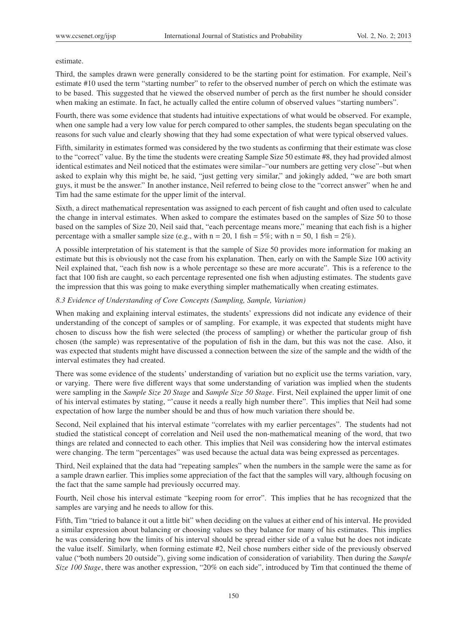# estimate.

Third, the samples drawn were generally considered to be the starting point for estimation. For example, Neil's estimate #10 used the term "starting number" to refer to the observed number of perch on which the estimate was to be based. This suggested that he viewed the observed number of perch as the first number he should consider when making an estimate. In fact, he actually called the entire column of observed values "starting numbers".

Fourth, there was some evidence that students had intuitive expectations of what would be observed. For example, when one sample had a very low value for perch compared to other samples, the students began speculating on the reasons for such value and clearly showing that they had some expectation of what were typical observed values.

Fifth, similarity in estimates formed was considered by the two students as confirming that their estimate was close to the "correct" value. By the time the students were creating Sample Size 50 estimate #8, they had provided almost identical estimates and Neil noticed that the estimates were similar–"our numbers are getting very close"–but when asked to explain why this might be, he said, "just getting very similar," and jokingly added, "we are both smart guys, it must be the answer." In another instance, Neil referred to being close to the "correct answer" when he and Tim had the same estimate for the upper limit of the interval.

Sixth, a direct mathematical representation was assigned to each percent of fish caught and often used to calculate the change in interval estimates. When asked to compare the estimates based on the samples of Size 50 to those based on the samples of Size 20, Neil said that, "each percentage means more," meaning that each fish is a higher percentage with a smaller sample size (e.g., with  $n = 20$ , 1 fish = 5%; with  $n = 50$ , 1 fish = 2%).

A possible interpretation of his statement is that the sample of Size 50 provides more information for making an estimate but this is obviously not the case from his explanation. Then, early on with the Sample Size 100 activity Neil explained that, "each fish now is a whole percentage so these are more accurate". This is a reference to the fact that 100 fish are caught, so each percentage represented one fish when adjusting estimates. The students gave the impression that this was going to make everything simpler mathematically when creating estimates.

# *8.3 Evidence of Understanding of Core Concepts (Sampling, Sample, Variation)*

When making and explaining interval estimates, the students' expressions did not indicate any evidence of their understanding of the concept of samples or of sampling. For example, it was expected that students might have chosen to discuss how the fish were selected (the process of sampling) or whether the particular group of fish chosen (the sample) was representative of the population of fish in the dam, but this was not the case. Also, it was expected that students might have discussed a connection between the size of the sample and the width of the interval estimates they had created.

There was some evidence of the students' understanding of variation but no explicit use the terms variation, vary, or varying. There were five different ways that some understanding of variation was implied when the students were sampling in the *Sample Size 20 Stage* and *Sample Size 50 Stage*. First, Neil explained the upper limit of one of his interval estimates by stating, "'cause it needs a really high number there". This implies that Neil had some expectation of how large the number should be and thus of how much variation there should be.

Second, Neil explained that his interval estimate "correlates with my earlier percentages". The students had not studied the statistical concept of correlation and Neil used the non-mathematical meaning of the word, that two things are related and connected to each other. This implies that Neil was considering how the interval estimates were changing. The term "percentages" was used because the actual data was being expressed as percentages.

Third, Neil explained that the data had "repeating samples" when the numbers in the sample were the same as for a sample drawn earlier. This implies some appreciation of the fact that the samples will vary, although focusing on the fact that the same sample had previously occurred may.

Fourth, Neil chose his interval estimate "keeping room for error". This implies that he has recognized that the samples are varying and he needs to allow for this.

Fifth, Tim "tried to balance it out a little bit" when deciding on the values at either end of his interval. He provided a similar expression about balancing or choosing values so they balance for many of his estimates. This implies he was considering how the limits of his interval should be spread either side of a value but he does not indicate the value itself. Similarly, when forming estimate #2, Neil chose numbers either side of the previously observed value ("both numbers 20 outside"), giving some indication of consideration of variability. Then during the *Sample Size 100 Stage*, there was another expression, "20% on each side", introduced by Tim that continued the theme of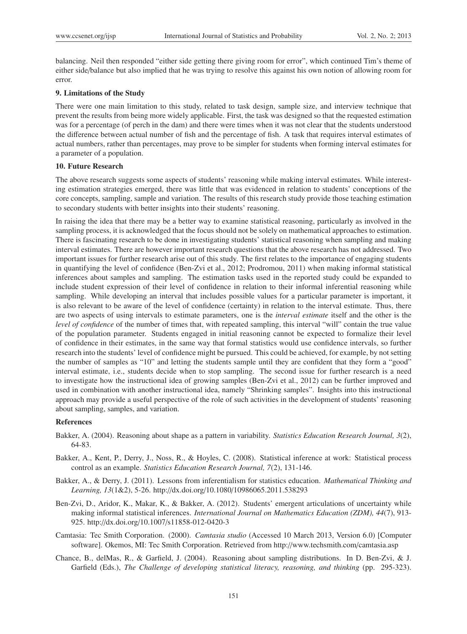balancing. Neil then responded "either side getting there giving room for error", which continued Tim's theme of either side/balance but also implied that he was trying to resolve this against his own notion of allowing room for error.

#### 9. Limitations of the Study

There were one main limitation to this study, related to task design, sample size, and interview technique that prevent the results from being more widely applicable. First, the task was designed so that the requested estimation was for a percentage (of perch in the dam) and there were times when it was not clear that the students understood the difference between actual number of fish and the percentage of fish. A task that requires interval estimates of actual numbers, rather than percentages, may prove to be simpler for students when forming interval estimates for a parameter of a population.

#### 10. Future Research

The above research suggests some aspects of students' reasoning while making interval estimates. While interesting estimation strategies emerged, there was little that was evidenced in relation to students' conceptions of the core concepts, sampling, sample and variation. The results of this research study provide those teaching estimation to secondary students with better insights into their students' reasoning.

In raising the idea that there may be a better way to examine statistical reasoning, particularly as involved in the sampling process, it is acknowledged that the focus should not be solely on mathematical approaches to estimation. There is fascinating research to be done in investigating students' statistical reasoning when sampling and making interval estimates. There are however important research questions that the above research has not addressed. Two important issues for further research arise out of this study. The first relates to the importance of engaging students in quantifying the level of confidence (Ben-Zvi et al., 2012; Prodromou, 2011) when making informal statistical inferences about samples and sampling. The estimation tasks used in the reported study could be expanded to include student expression of their level of confidence in relation to their informal inferential reasoning while sampling. While developing an interval that includes possible values for a particular parameter is important, it is also relevant to be aware of the level of confidence (certainty) in relation to the interval estimate. Thus, there are two aspects of using intervals to estimate parameters, one is the *interval estimate* itself and the other is the *level of confidence* of the number of times that, with repeated sampling, this interval "will" contain the true value of the population parameter. Students engaged in initial reasoning cannot be expected to formalize their level of confidence in their estimates, in the same way that formal statistics would use confidence intervals, so further research into the students' level of confidence might be pursued. This could be achieved, for example, by not setting the number of samples as "10" and letting the students sample until they are confident that they form a "good" interval estimate, i.e., students decide when to stop sampling. The second issue for further research is a need to investigate how the instructional idea of growing samples (Ben-Zvi et al., 2012) can be further improved and used in combination with another instructional idea, namely "Shrinking samples". Insights into this instructional approach may provide a useful perspective of the role of such activities in the development of students' reasoning about sampling, samples, and variation.

#### References

- Bakker, A. (2004). Reasoning about shape as a pattern in variability. *Statistics Education Research Journal, 3*(2), 64-83.
- Bakker, A., Kent, P., Derry, J., Noss, R., & Hoyles, C. (2008). Statistical inference at work: Statistical process control as an example. *Statistics Education Research Journal, 7*(2), 131-146.
- Bakker, A., & Derry, J. (2011). Lessons from inferentialism for statistics education. *Mathematical Thinking and Learning, 13*(1&2), 5-26. http://dx.doi.org/10.1080/10986065.2011.538293
- Ben-Zvi, D., Aridor, K., Makar, K., & Bakker, A. (2012). Students' emergent articulations of uncertainty while making informal statistical inferences. *International Journal on Mathematics Education (ZDM), 44*(7), 913- 925. http://dx.doi.org/10.1007/s11858-012-0420-3
- Camtasia: Tec Smith Corporation. (2000). *Camtasia studio* (Accessed 10 March 2013, Version 6.0) [Computer software]. Okemos, MI: Tec Smith Corporation. Retrieved from http://www.techsmith.com/camtasia.asp
- Chance, B., delMas, R., & Garfield, J. (2004). Reasoning about sampling distributions. In D. Ben-Zvi, & J. Garfield (Eds.), *The Challenge of developing statistical literacy, reasoning, and thinking* (pp. 295-323).